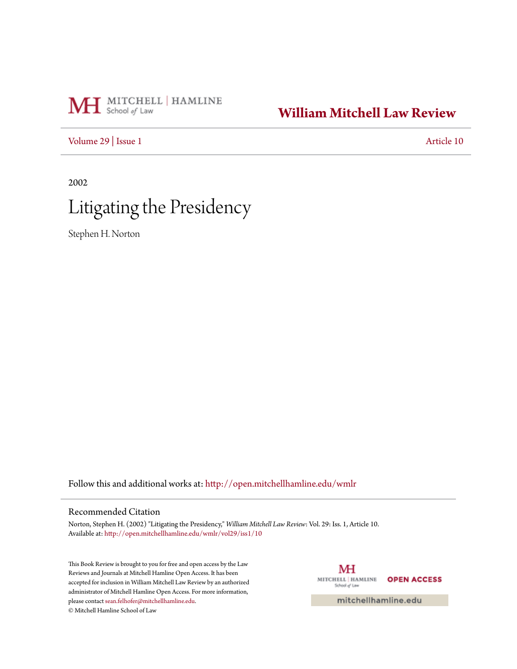# MH School of Law

## **[William Mitchell Law Review](http://open.mitchellhamline.edu/wmlr?utm_source=open.mitchellhamline.edu%2Fwmlr%2Fvol29%2Fiss1%2F10&utm_medium=PDF&utm_campaign=PDFCoverPages)**

[Volume 29](http://open.mitchellhamline.edu/wmlr/vol29?utm_source=open.mitchellhamline.edu%2Fwmlr%2Fvol29%2Fiss1%2F10&utm_medium=PDF&utm_campaign=PDFCoverPages) | [Issue 1](http://open.mitchellhamline.edu/wmlr/vol29/iss1?utm_source=open.mitchellhamline.edu%2Fwmlr%2Fvol29%2Fiss1%2F10&utm_medium=PDF&utm_campaign=PDFCoverPages) [Article 10](http://open.mitchellhamline.edu/wmlr/vol29/iss1/10?utm_source=open.mitchellhamline.edu%2Fwmlr%2Fvol29%2Fiss1%2F10&utm_medium=PDF&utm_campaign=PDFCoverPages)

2002

# Litigating the Presidency

Stephen H. Norton

Follow this and additional works at: [http://open.mitchellhamline.edu/wmlr](http://open.mitchellhamline.edu/wmlr?utm_source=open.mitchellhamline.edu%2Fwmlr%2Fvol29%2Fiss1%2F10&utm_medium=PDF&utm_campaign=PDFCoverPages)

### Recommended Citation

Norton, Stephen H. (2002) "Litigating the Presidency," *William Mitchell Law Review*: Vol. 29: Iss. 1, Article 10. Available at: [http://open.mitchellhamline.edu/wmlr/vol29/iss1/10](http://open.mitchellhamline.edu/wmlr/vol29/iss1/10?utm_source=open.mitchellhamline.edu%2Fwmlr%2Fvol29%2Fiss1%2F10&utm_medium=PDF&utm_campaign=PDFCoverPages)

This Book Review is brought to you for free and open access by the Law Reviews and Journals at Mitchell Hamline Open Access. It has been accepted for inclusion in William Mitchell Law Review by an authorized administrator of Mitchell Hamline Open Access. For more information, please contact [sean.felhofer@mitchellhamline.edu.](mailto:sean.felhofer@mitchellhamline.edu) © Mitchell Hamline School of Law

MH MITCHELL | HAMLINE **OPEN ACCESS** School of Law

mitchellhamline.edu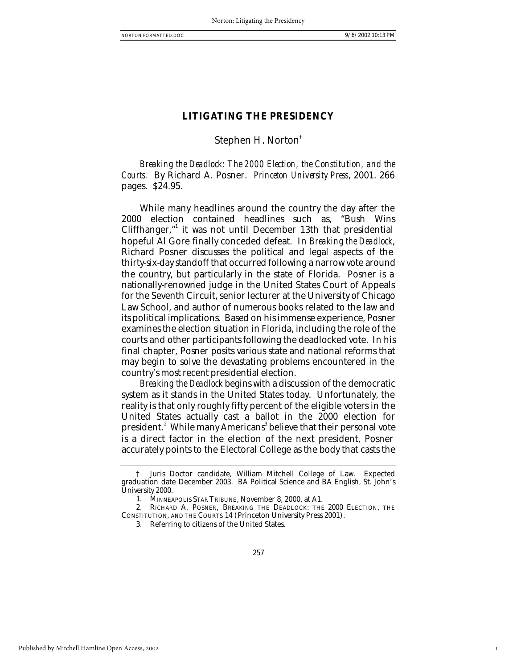1

### **LITIGATING THE PRESIDENCY**

### Stephen H. Norton†

*Breaking the Deadlock: The 2000 Election, the Constitution, and the Courts.* By Richard A. Posner. *Princeton University Press*, 2001. 266 pages. \$24.95.

While many headlines around the country the day after the 2000 election contained headlines such as, "Bush Wins Cliffhanger,"<sup>1</sup> it was not until December 13th that presidential hopeful Al Gore finally conceded defeat. In *Breaking the Deadlock*, Richard Posner discusses the political and legal aspects of the thirty-six-day standoff that occurred following a narrow vote around the country, but particularly in the state of Florida. Posner is a nationally-renowned judge in the United States Court of Appeals for the Seventh Circuit, senior lecturer at the University of Chicago Law School, and author of numerous books related to the law and its political implications. Based on his immense experience, Posner examines the election situation in Florida, including the role of the courts and other participants following the deadlocked vote. In his final chapter, Posner posits various state and national reforms that may begin to solve the devastating problems encountered in the country's most recent presidential election.

*Breaking the Deadlock* begins with a discussion of the democratic system as it stands in the United States today. Unfortunately, the reality is that only roughly fifty percent of the eligible voters in the United States actually cast a ballot in the 2000 election for president. $\degree$  While many Americans $\degree$ believe that their personal vote is a direct factor in the election of the next president, Posner accurately points to the Electoral College as the body that casts the

Juris Doctor candidate, William Mitchell College of Law. Expected graduation date December 2003. BA Political Science and BA English, St. John's University 2000.

<sup>1.</sup> MINNEAPOLIS STAR TRIBUNE, November 8, 2000, at A1.

<sup>2.</sup> RICHARD A. POSNER, BREAKING THE DEADLOCK: THE 2000 ELECTION, THE CONSTITUTION, AND THE COURTS 14 (Princeton University Press 2001).

<sup>3.</sup> Referring to citizens of the United States.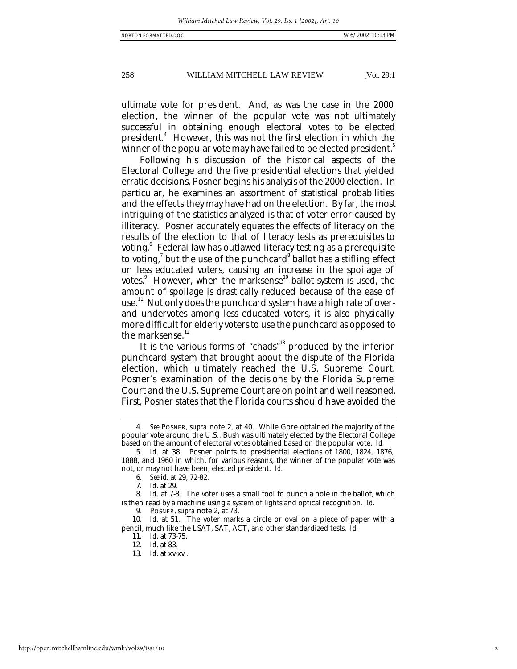#### 258 WILLIAM MITCHELL LAW REVIEW [Vol. 29:1

ultimate vote for president. And, as was the case in the 2000 election, the winner of the popular vote was not ultimately successful in obtaining enough electoral votes to be elected president.<sup>4</sup> However, this was not the first election in which the winner of the popular vote may have failed to be elected president.<sup>3</sup>

Following his discussion of the historical aspects of the Electoral College and the five presidential elections that yielded erratic decisions, Posner begins his analysis of the 2000 election. In particular, he examines an assortment of statistical probabilities and the effects they may have had on the election. By far, the most intriguing of the statistics analyzed is that of voter error caused by illiteracy. Posner accurately equates the effects of literacy on the results of the election to that of literacy tests as prerequisites to voting.<sup>6</sup> Federal law has outlawed literacy testing as a prerequisite to voting, $^7$  but the use of the punchcard $^8$  ballot has a stifling effect on less educated voters, causing an increase in the spoilage of votes.<sup>9</sup> However, when the marksense<sup>10</sup> ballot system is used, the amount of spoilage is drastically reduced because of the ease of use." Not only does the punchcard system have a high rate of overand undervotes among less educated voters, it is also physically more difficult for elderly voters to use the punchcard as opposed to the marksense.<sup>12</sup>

It is the various forms of "chads"<sup>13</sup> produced by the inferior punchcard system that brought about the dispute of the Florida election, which ultimately reached the U.S. Supreme Court. Posner's examination of the decisions by the Florida Supreme Court and the U.S. Supreme Court are on point and well reasoned. First, Posner states that the Florida courts should have avoided the

13*. Id*. at xv-xvi.

<sup>4</sup>*. See* POSNER, *supra* note 2, at 40. While Gore obtained the majority of the popular vote around the U.S., Bush was ultimately elected by the Electoral College based on the amount of electoral votes obtained based on the popular vote. *Id.*

<sup>5</sup>*. Id*. at 38. Posner points to presidential elections of 1800, 1824, 1876, 1888, and 1960 in which, for various reasons, the winner of the popular vote was not, or may not have been, elected president. *Id.*

<sup>6</sup>*. See id*. at 29, 72-82.

<sup>7</sup>*. Id*. at 29.

<sup>8</sup>*. Id*. at 7-8. The voter uses a small tool to punch a hole in the ballot, which is then read by a machine using a system of lights and optical recognition. *Id.*

<sup>9.</sup> POSNER, *supra* note 2, at 73.

<sup>10</sup>*. Id*. at 51. The voter marks a circle or oval on a piece of paper with a pencil, much like the LSAT, SAT, ACT, and other standardized tests. *Id.*

<sup>11</sup>*. Id*. at 73-75.

<sup>12</sup>*. Id*. at 83.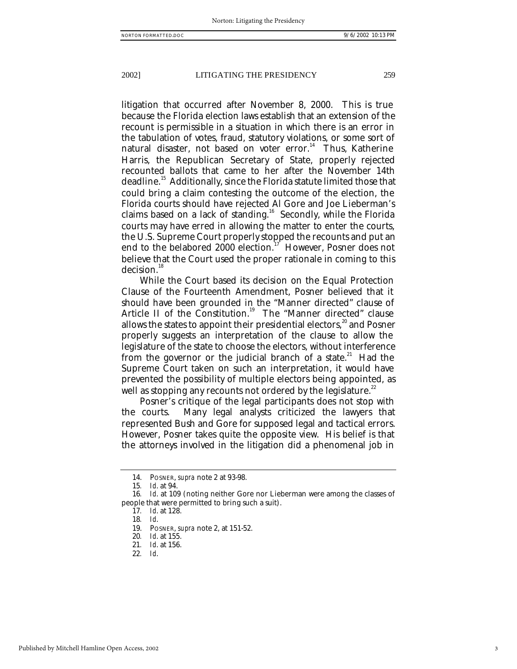#### 2002] LITIGATING THE PRESIDENCY 259

litigation that occurred after November 8, 2000. This is true because the Florida election laws establish that an extension of the recount is permissible in a situation in which there is an error in the tabulation of votes, fraud, statutory violations, or some sort of natural disaster, not based on voter error.<sup>14</sup> Thus, Katherine Harris, the Republican Secretary of State, properly rejected recounted ballots that came to her after the November 14th deadline.<sup>15</sup> Additionally, since the Florida statute limited those that could bring a claim contesting the outcome of the election, the Florida courts should have rejected Al Gore and Joe Lieberman's claims based on a lack of standing.<sup>16</sup> Secondly, while the Florida courts may have erred in allowing the matter to enter the courts, the U.S. Supreme Court properly stopped the recounts and put an end to the belabored 2000 election.<sup>17</sup> However, Posner does not believe that the Court used the proper rationale in coming to this decision.<sup>18</sup>

While the Court based its decision on the Equal Protection Clause of the Fourteenth Amendment, Posner believed that it should have been grounded in the "Manner directed" clause of Article II of the Constitution.<sup>19</sup> The "Manner directed" clause allows the states to appoint their presidential electors, $^{20}$  and Posner properly suggests an interpretation of the clause to allow the legislature of the state to choose the electors, without interference from the governor or the judicial branch of a state.<sup>21</sup> Had the Supreme Court taken on such an interpretation, it would have prevented the possibility of multiple electors being appointed, as well as stopping any recounts not ordered by the legislature.<sup>22</sup>

Posner's critique of the legal participants does not stop with the courts. Many legal analysts criticized the lawyers that represented Bush and Gore for supposed legal and tactical errors. However, Posner takes quite the opposite view. His belief is that the attorneys involved in the litigation did a phenomenal job in

<sup>14.</sup> POSNER, *supra* note 2 at 93-98.

<sup>15</sup>*. Id*. at 94.

<sup>16</sup>*. Id*. at 109 (noting neither Gore nor Lieberman were among the classes of people that were permitted to bring such a suit).

<sup>17</sup>*. Id*. at 128.

<sup>18</sup>*. Id*.

<sup>19.</sup> POSNER, *supra* note 2, at 151-52.

<sup>20</sup>*. Id*. at 155.

<sup>21</sup>*. Id*. at 156.

<sup>22</sup>*. Id*.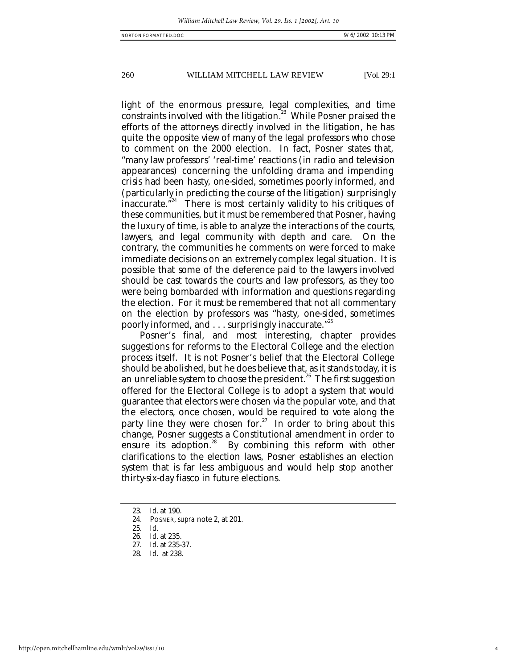260 WILLIAM MITCHELL LAW REVIEW [Vol. 29:1

light of the enormous pressure, legal complexities, and time constraints involved with the litigation.<sup>23</sup> While Posner praised the efforts of the attorneys directly involved in the litigation, he has quite the opposite view of many of the legal professors who chose to comment on the 2000 election. In fact, Posner states that, "many law professors' 'real-time' reactions (in radio and television appearances) concerning the unfolding drama and impending crisis had been hasty, one-sided, sometimes poorly informed, and (particularly in predicting the course of the litigation) surprisingly inaccurate. $^{\cdot^{24}}$  There is most certainly validity to his critiques of these communities, but it must be remembered that Posner, having the luxury of time, is able to analyze the interactions of the courts, lawyers, and legal community with depth and care. On the contrary, the communities he comments on were forced to make immediate decisions on an extremely complex legal situation. It is possible that some of the deference paid to the lawyers involved should be cast towards the courts and law professors, as they too were being bombarded with information and questions regarding the election. For it must be remembered that not all commentary on the election by professors was "hasty, one-sided, sometimes poorly informed, and . . . surprisingly inaccurate."<sup>25</sup>

Posner's final, and most interesting, chapter provides suggestions for reforms to the Electoral College and the election process itself. It is not Posner's belief that the Electoral College should be abolished, but he does believe that, as it stands today, it is an unreliable system to choose the president.<sup>26</sup> The first suggestion offered for the Electoral College is to adopt a system that would guarantee that electors were chosen via the popular vote, and that the electors, once chosen, would be required to vote along the party line they were chosen for.<sup>27</sup> In order to bring about this change, Posner suggests a Constitutional amendment in order to ensure its adoption.<sup>28</sup> By combining this reform with other clarifications to the election laws, Posner establishes an election system that is far less ambiguous and would help stop another thirty-six-day fiasco in future elections.

<sup>23</sup>*. Id*. at 190.

<sup>24.</sup> POSNER, *supra* note 2, at 201.

<sup>25</sup>*. Id*.

<sup>26</sup>*. Id*. at 235.

<sup>27</sup>*. Id*. at 235-37.

<sup>28</sup>*. Id*. at 238.